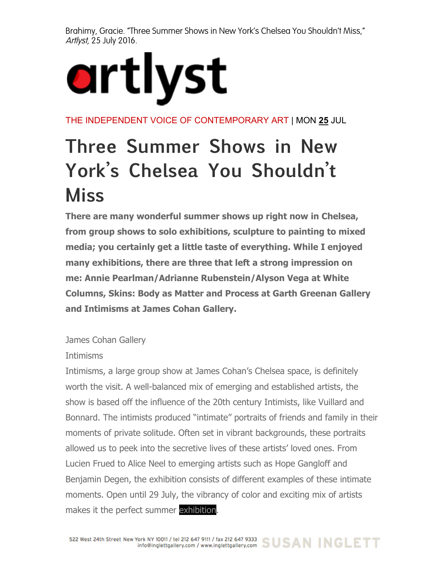Brahimy, Gracie. "Three Summer Shows in New York's Chelsea You Shouldn't Miss," Artlyst, 25 July 2016.

## artlyst

THE INDEPENDENT VOICE OF CONTEMPORARY ART | MON **25** JUL

## **Three Summer Shows in New York's Chelsea You Shouldn't Miss**

**There are many wonderful summer shows up right now in Chelsea, from group shows to solo exhibitions, sculpture to painting to mixed media; you certainly get a little taste of everything. While I enjoyed many exhibitions, there are three that left a strong impression on me: Annie Pearlman/Adrianne Rubenstein/Alyson Vega at White Columns, Skins: Body as Matter and Process at Garth Greenan Gallery and Intimisms at James Cohan Gallery.**

James Cohan Gallery

## Intimisms

Intimisms, a large group show at James Cohan's Chelsea space, is definitely worth the visit. A well-balanced mix of emerging and established artists, the show is based off the influence of the 20th century Intimists, like Vuillard and Bonnard. The intimists produced "intimate" portraits of friends and family in their moments of private solitude. Often set in vibrant backgrounds, these portraits allowed us to peek into the secretive lives of these artists' loved ones. From Lucien Frued to Alice Neel to emerging artists such as Hope Gangloff and Benjamin Degen, the exhibition consists of different examples of these intimate moments. Open until 29 July, the vibrancy of color and exciting mix of artists makes it the perfect summer exhibition.